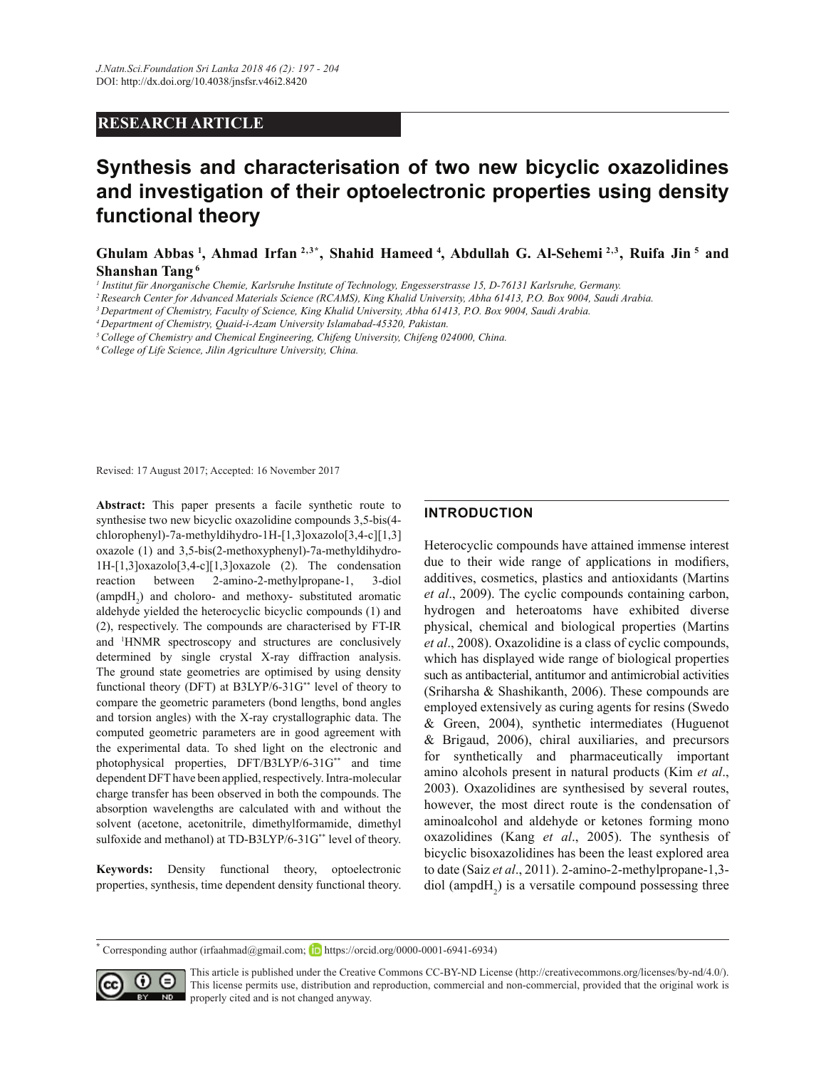# **RESEARCH ARTICLE**

# **Synthesis and characterisation of two new bicyclic oxazolidines and investigation of their optoelectronic properties using density functional theory**

Ghulam Abbas<sup>1</sup>, Ahmad Irfan<sup>2,3\*</sup>, Shahid Hameed<sup>4</sup>, Abdullah G. Al-Sehemi<sup>2,3</sup>, Ruifa Jin<sup>5</sup> and **Shanshan Tang**

*1 Institut für Anorganische Chemie, Karlsruhe Institute of Technology, Engesserstrasse 15, D-76131 Karlsruhe, Germany.*

*<sup>2</sup>Research Center for Advanced Materials Science (RCAMS), King Khalid University, Abha 61413, P.O. Box 9004, Saudi Arabia.*

*<sup>4</sup>Department of Chemistry, Quaid-i-Azam University Islamabad-45320, Pakistan.*

*<sup>5</sup>College of Chemistry and Chemical Engineering, Chifeng University, Chifeng 024000, China.*

*<sup>6</sup>College of Life Science, Jilin Agriculture University, China.*

Revised: 17 August 2017; Accepted: 16 November 2017

**Abstract:** This paper presents a facile synthetic route to synthesise two new bicyclic oxazolidine compounds  $3,5$ -bis(4chlorophenyl)-7a-methyldihydro-1H-[1,3]oxazolo[3,4-c][1,3] oxazole (1) and 3,5-bis(2-methoxyphenyl)-7a-methyldihydro- $1H-[1,3]oxazolo[3,4-c][1,3]oxazole$  (2). The condensation reaction between 2-amino-2-methylpropane-1, 3-diol  $\text{(ampdH}_2)$  and choloro- and methoxy- substituted aromatic aldehyde yielded the heterocyclic bicyclic compounds (1) and (2), respectively. The compounds are characterised by FT-IR and <sup>1</sup>HNMR spectroscopy and structures are conclusively determined by single crystal X-ray diffraction analysis. The ground state geometries are optimised by using density functional theory (DFT) at B3LYP/6-31G\*\* level of theory to compare the geometric parameters (bond lengths, bond angles and torsion angles) with the X-ray crystallographic data. The computed geometric parameters are in good agreement with the experimental data. To shed light on the electronic and photophysical properties, DFT/B3LYP/6-31G\*\* and time dependent DFT have been applied, respectively. Intra-molecular charge transfer has been observed in both the compounds. The absorption wavelengths are calculated with and without the solvent (acetone, acetonitrile, dimethylformamide, dimethyl sulfoxide and methanol) at TD-B3LYP/6-31G\*\* level of theory.

**Keywords:** Density functional theory, optoelectronic properties, synthesis, time dependent density functional theory.

# **INTRODUCTION**

Heterocyclic compounds have attained immense interest due to their wide range of applications in modifiers, additives, cosmetics, plastics and antioxidants (Martins *et al*., 2009). The cyclic compounds containing carbon, hydrogen and heteroatoms have exhibited diverse physical, chemical and biological properties (Martins *et al*., 2008). Oxazolidine is a class of cyclic compounds, which has displayed wide range of biological properties such as antibacterial, antitumor and antimicrobial activities (Sriharsha & Shashikanth, 2006). These compounds are employed extensively as curing agents for resins (Swedo  $& Green, 2004)$ , synthetic intermediates (Huguenot  $&$  Brigaud, 2006), chiral auxiliaries, and precursors for synthetically and pharmaceutically important amino alcohols present in natural products (Kim *et al*., 2003). Oxazolidines are synthesised by several routes, however, the most direct route is the condensation of aminoalcohol and aldehyde or ketones forming mono oxazolidines (Kang *et al.*, 2005). The synthesis of bicyclic bisoxazolidines has been the least explored area to date (Saiz *et al*., 2011). 2-amino-2-methylpropane-1,3 diol (ampd $H_2$ ) is a versatile compound possessing three

<sup>\*</sup> Corresponding author (irfaahmad@gmail.com; **https://orcid.org/0000-0001-6941-6934)** 



This article is published under the Creative Commons CC-BY-ND License (http://creativecommons.org/licenses/by-nd/4.0/). This license permits use, distribution and reproduction, commercial and non-commercial, provided that the original work is  $\mathbb{R}$  properly cited and is not changed anyway.

*<sup>3</sup>Department of Chemistry, Faculty of Science, King Khalid University, Abha 61413, P.O. Box 9004, Saudi Arabia.*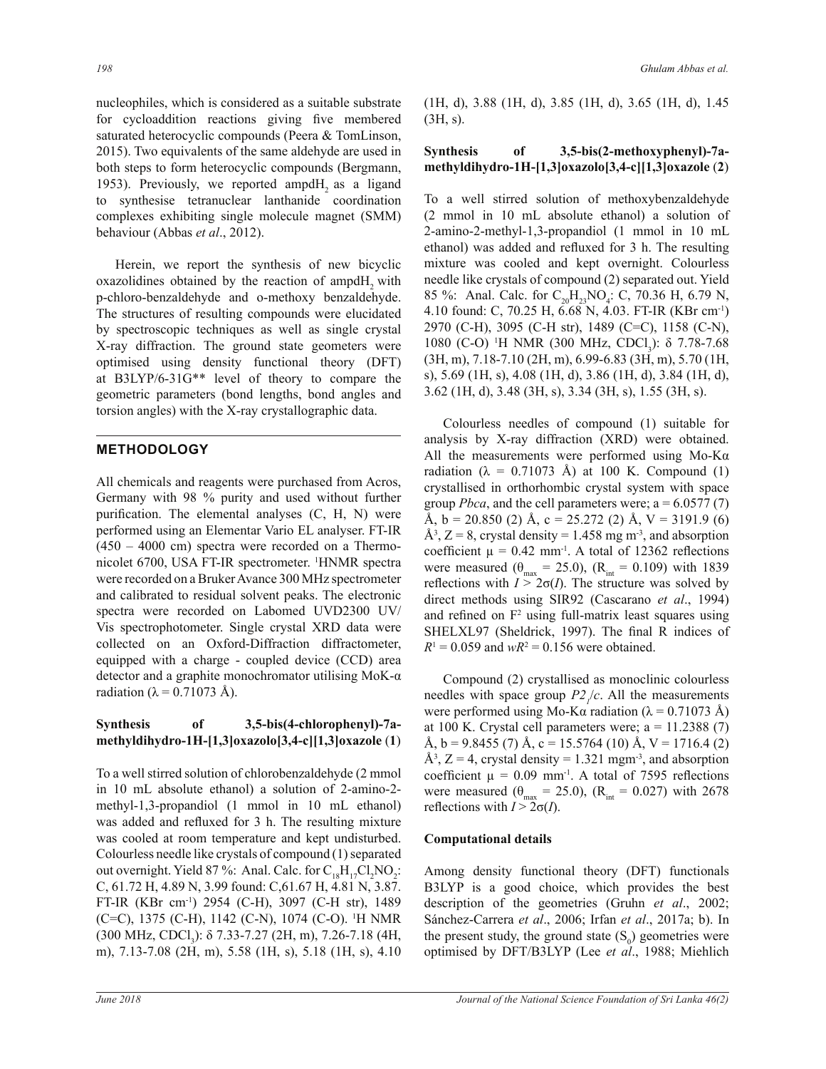nucleophiles, which is considered as a suitable substrate for cycloaddition reactions giving five membered saturated heterocyclic compounds (Peera & TomLinson, 2015). Two equivalents of the same aldehyde are used in both steps to form heterocyclic compounds (Bergmann, 1953). Previously, we reported ampd $H<sub>2</sub>$  as a ligand to synthesise tetranuclear lanthanide coordination complexes exhibiting single molecule magnet (SMM) behaviour (Abbas *et al*., 2012).

Herein, we report the synthesis of new bicyclic oxazolidines obtained by the reaction of ampdH, with p-chloro-benzaldehyde and o-methoxy benzaldehyde. The structures of resulting compounds were elucidated by spectroscopic techniques as well as single crystal X-ray diffraction. The ground state geometers were optimised using density functional theory (DFT) at B3LYP/6-31G\*\* level of theory to compare the geometric parameters (bond lengths, bond angles and torsion angles) with the X-ray crystallographic data.

# **METHODOLOGY**

All chemicals and reagents were purchased from Acros, Germany with 98  $\%$  purity and used without further purification. The elemental analyses  $(C, H, N)$  were performed using an Elementar Vario EL analyser. FT-IR  $(450 - 4000$  cm) spectra were recorded on a Thermonicolet 6700, USA FT-IR spectrometer. <sup>1</sup>HNMR spectra were recorded on a Bruker Avance 300 MHz spectrometer and calibrated to residual solvent peaks. The electronic spectra were recorded on Labomed UVD2300 UV/ Vis spectrophotometer. Single crystal XRD data were collected on an Oxford-Diffraction diffractometer, equipped with a charge - coupled device (CCD) area detector and a graphite monochromator utilising MoK- $\alpha$ radiation ( $\lambda$  = 0.71073 Å).

# Synthesis of 3,5-bis(4-chlorophenyl)-7amethyldihydro-1H-[1,3]oxazolo[3,4-c][1,3]oxazole (1)

To a well stirred solution of chlorobenzaldehyde (2 mmol in 10 mL absolute ethanol) a solution of 2-amino-2 methyl-1,3-propandiol (1 mmol in 10 mL ethanol) was added and refluxed for 3 h. The resulting mixture was cooled at room temperature and kept undisturbed. Colourless needle like crystals of compound (1) separated out overnight. Yield 87%: Anal. Calc. for  $C_{18}H_{17}Cl_2NO_2$ :  $C$ , 61.72 H, 4.89 N, 3.99 found:  $C$ , 61.67 H, 4.81 N, 3.87. FT-IR (KBr cm<sup>-1</sup>) 2954 (C-H), 3097 (C-H str), 1489  $(C=C)$ , 1375 (C-H), 1142 (C-N), 1074 (C-O). <sup>1</sup>H NMR (300 MHz, CDCl<sub>3</sub>):  $\delta$  7.33-7.27 (2H, m), 7.26-7.18 (4H, m), 7.13-7.08 (2H, m), 5.58 (1H, s), 5.18 (1H, s), 4.10

 $(1H, d)$ , 3.88  $(1H, d)$ , 3.85  $(1H, d)$ , 3.65  $(1H, d)$ , 1.45  $(3H, s)$ .

## Synthesis of 3,5-bis(2-methoxyphenyl)-7a**methyldihydro-1H-[1,3]oxazolo[3,4-c][1,3]oxazole (2)**

To a well stirred solution of methoxybenzaldehyde (2 mmol in 10 mL absolute ethanol) a solution of 2-amino-2-methyl-1,3-propandiol (1 mmol in 10 mL ethanol) was added and refluxed for 3 h. The resulting mixture was cooled and kept overnight. Colourless needle like crystals of compound (2) separated out. Yield 85 %: Anal. Calc. for  $C_{20}H_{23}NO_4$ : C, 70.36 H, 6.79 N, 4.10 found: C, 70.25 H, 6.68 N, 4.03. FT-IR (KBr cm<sup>-1</sup>) 2970 (C-H), 3095 (C-H str), 1489 (C=C), 1158 (C-N), 1080 (C-O) <sup>1</sup>H NMR (300 MHz, CDCl<sub>3</sub>): δ 7.78-7.68  $(3H, m)$ , 7.18-7.10 (2H, m), 6.99-6.83 (3H, m), 5.70 (1H, s), 5.69 (1H, s), 4.08 (1H, d), 3.86 (1H, d), 3.84 (1H, d),  $3.62$  (1H, d), 3.48 (3H, s), 3.34 (3H, s), 1.55 (3H, s).

Colourless needles of compound (1) suitable for analysis by X-ray diffraction (XRD) were obtained. All the measurements were performed using  $Mo-K\alpha$ radiation ( $\lambda = 0.71073$  Å) at 100 K. Compound (1) crystallised in orthorhombic crystal system with space group *Pbca*, and the cell parameters were;  $a = 6.0577(7)$ Å, b = 20.850 (2) Å, c = 25.272 (2) Å, V = 3191.9 (6)  $\AA^3$ , Z = 8, crystal density = 1.458 mg m<sup>-3</sup>, and absorption coefficient  $\mu = 0.42$  mm<sup>-1</sup>. A total of 12362 reflections were measured ( $\theta_{\text{max}} = 25.0$ ), ( $R_{\text{int}} = 0.109$ ) with 1839 reflections with  $I > 2\sigma(I)$ . The structure was solved by direct methods using SIR92 (Cascarano et al., 1994) and refined on  $F^2$  using full-matrix least squares using SHELXL97 (Sheldrick, 1997). The final R indices of  $R$ <sup>1</sup> = 0.059 and  $wR$ <sup>2</sup> = 0.156 were obtained.

Compound (2) crystallised as monoclinic colourless needles with space group  $P2<sub>1</sub>/c$ . All the measurements were performed using Mo-K $\alpha$  radiation ( $\lambda$  = 0.71073 Å) at 100 K. Crystal cell parameters were;  $a = 11.2388(7)$  $\AA$ , b = 9.8455 (7)  $\AA$ , c = 15.5764 (10)  $\AA$ , V = 1716.4 (2)  $\AA^3$ , Z = 4, crystal density = 1.321 mgm<sup>-3</sup>, and absorption coefficient  $\mu = 0.09$  mm<sup>-1</sup>. A total of 7595 reflections were measured ( $\theta_{\text{max}} = 25.0$ ), ( $R_{\text{int}} = 0.027$ ) with 2678 reflections with  $I > 2\sigma(I)$ .

#### **Computational details**

Among density functional theory (DFT) functionals B3LYP is a good choice, which provides the best description of the geometries (Gruhn et al., 2002; Sánchez-Carrera et al., 2006; Irfan et al., 2017a; b). In the present study, the ground state  $(S_0)$  geometries were optimised by DFT/B3LYP (Lee et al., 1988; Miehlich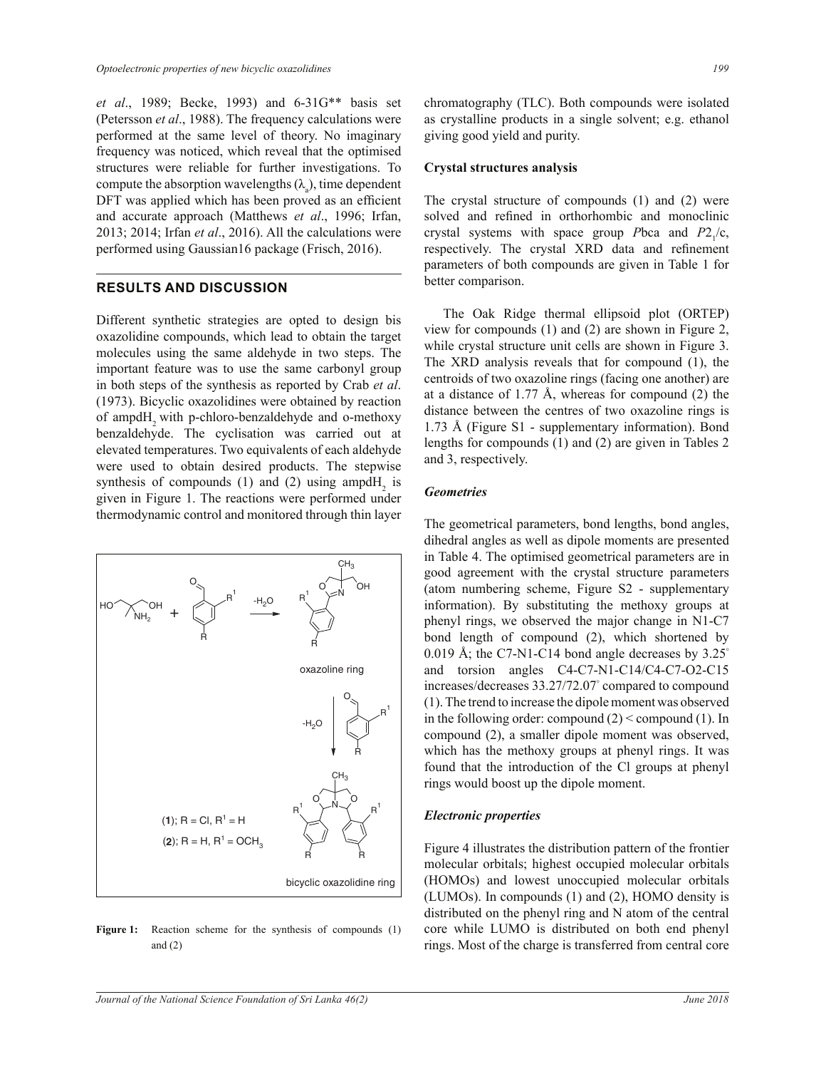et al., 1989; Becke, 1993) and 6-31G\*\* basis set (Petersson et al., 1988). The frequency calculations were performed at the same level of theory. No imaginary frequency was noticed, which reveal that the optimised structures were reliable for further investigations. To compute the absorption wavelengths  $(\lambda)$ , time dependent DFT was applied which has been proved as an efficient and accurate approach (Matthews et al., 1996; Irfan,  $2013$ ;  $2014$ ; Irfan *et al.*,  $2016$ ). All the calculations were performed using Gaussian16 package (Frisch, 2016).

# **RESULTS AND DISCUSSION**

Different synthetic strategies are opted to design bis oxazolidine compounds, which lead to obtain the target molecules using the same aldehyde in two steps. The important feature was to use the same carbonyl group in both steps of the synthesis as reported by Crab et al. (1973). Bicyclic oxazolidines were obtained by reaction of ampdH<sub>2</sub> with p-chloro-benzaldehyde and o-methoxy benzaldehyde. The cyclisation was carried out at elevated temperatures. Two equivalents of each aldehyde were used to obtain desired products. The stepwise synthesis of compounds (1) and (2) using ampdH, is given in Figure 1. The reactions were performed under thermodynamic control and monitored through thin layer



Figure 1: Reaction scheme for the synthesis of compounds (1) and  $(2)$ 

chromatography (TLC). Both compounds were isolated as crystalline products in a single solvent; e.g. ethanol giving good yield and purity.

#### **Crystal structures analysis**

The crystal structure of compounds (1) and (2) were solved and refined in orthorhombic and monoclinic crystal systems with space group Pbca and  $P2_{1}/c$ , respectively. The crystal XRD data and refinement parameters of both compounds are given in Table 1 for better comparison.

The Oak Ridge thermal ellipsoid plot (ORTEP) view for compounds  $(1)$  and  $(2)$  are shown in Figure 2, while crystal structure unit cells are shown in Figure 3. The XRD analysis reveals that for compound (1), the centroids of two oxazoline rings (facing one another) are at a distance of 1.77 Å, whereas for compound  $(2)$  the distance between the centres of two oxazoline rings is  $1.73$  Å (Figure S1 - supplementary information). Bond lengths for compounds  $(1)$  and  $(2)$  are given in Tables 2 and 3, respectively.

#### **Geometries**

The geometrical parameters, bond lengths, bond angles, dihedral angles as well as dipole moments are presented in Table 4. The optimised geometrical parameters are in good agreement with the crystal structure parameters (atom numbering scheme, Figure S2 - supplementary information). By substituting the methoxy groups at phenyl rings, we observed the major change in N1-C7 bond length of compound (2), which shortened by 0.019 Å; the C7-N1-C14 bond angle decreases by  $3.25^{\circ}$ and torsion angles C4-C7-N1-C14/C4-C7-O2-C15 increases/decreases 33.27/72.07° compared to compound (1). The trend to increase the dipole moment was observed in the following order: compound  $(2)$  < compound  $(1)$ . In compound (2), a smaller dipole moment was observed. which has the methoxy groups at phenyl rings. It was found that the introduction of the Cl groups at phenyl rings would boost up the dipole moment.

#### **Electronic properties**

Figure 4 illustrates the distribution pattern of the frontier molecular orbitals; highest occupied molecular orbitals (HOMOs) and lowest unoccupied molecular orbitals (LUMOs). In compounds (1) and (2), HOMO density is distributed on the phenyl ring and N atom of the central core while LUMO is distributed on both end phenyl rings. Most of the charge is transferred from central core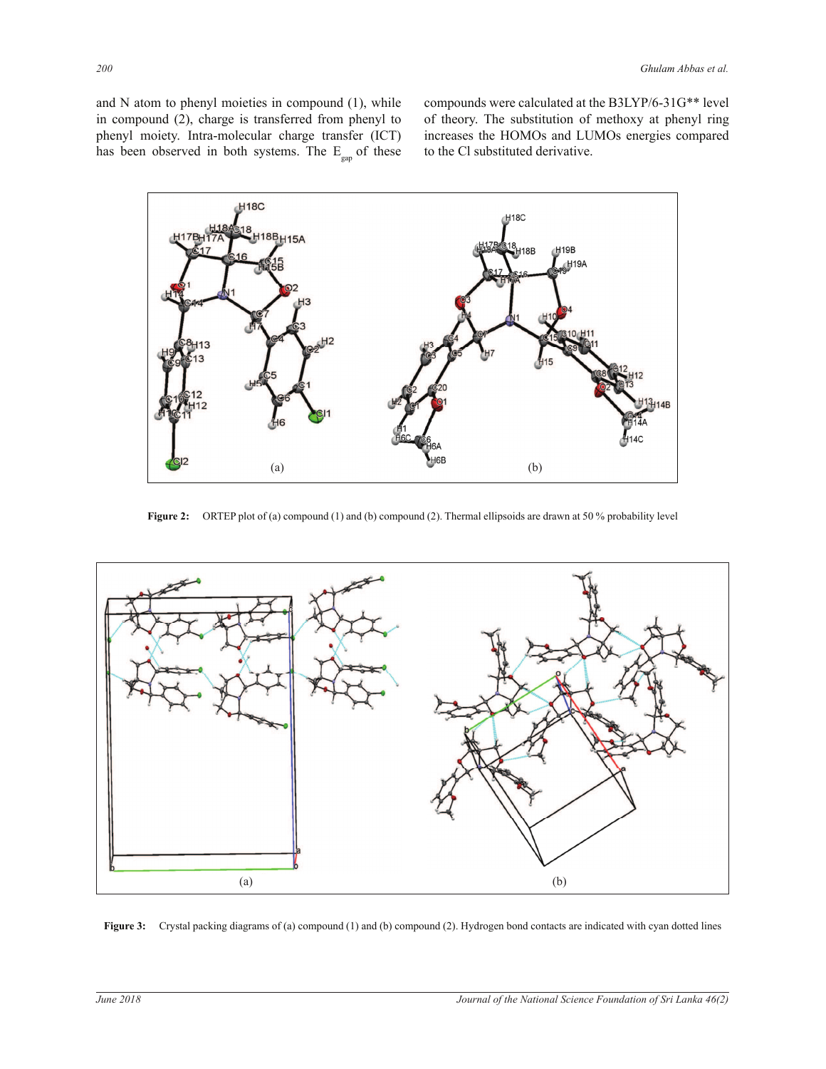and  $N$  atom to phenyl moieties in compound  $(1)$ , while in compound (2), charge is transferred from phenyl to phenyl moiety. Intra-molecular charge transfer (ICT) has been observed in both systems. The  $E_{\text{gap}}$  of these compounds were calculated at the B3LYP/6-31G\*\* level of theory. The substitution of methoxy at phenyl ring increases the HOMOs and LUMOs energies compared to the Cl substituted derivative.



**Figure 2:** ORTEP plot of (a) compound (1) and (b) compound (2). Thermal ellipsoids are drawn at 50 % probability level



**Figure 3:** Crystal packing diagrams of (a) compound (1) and (b) compound (2). Hydrogen bond contacts are indicated with cyan dotted lines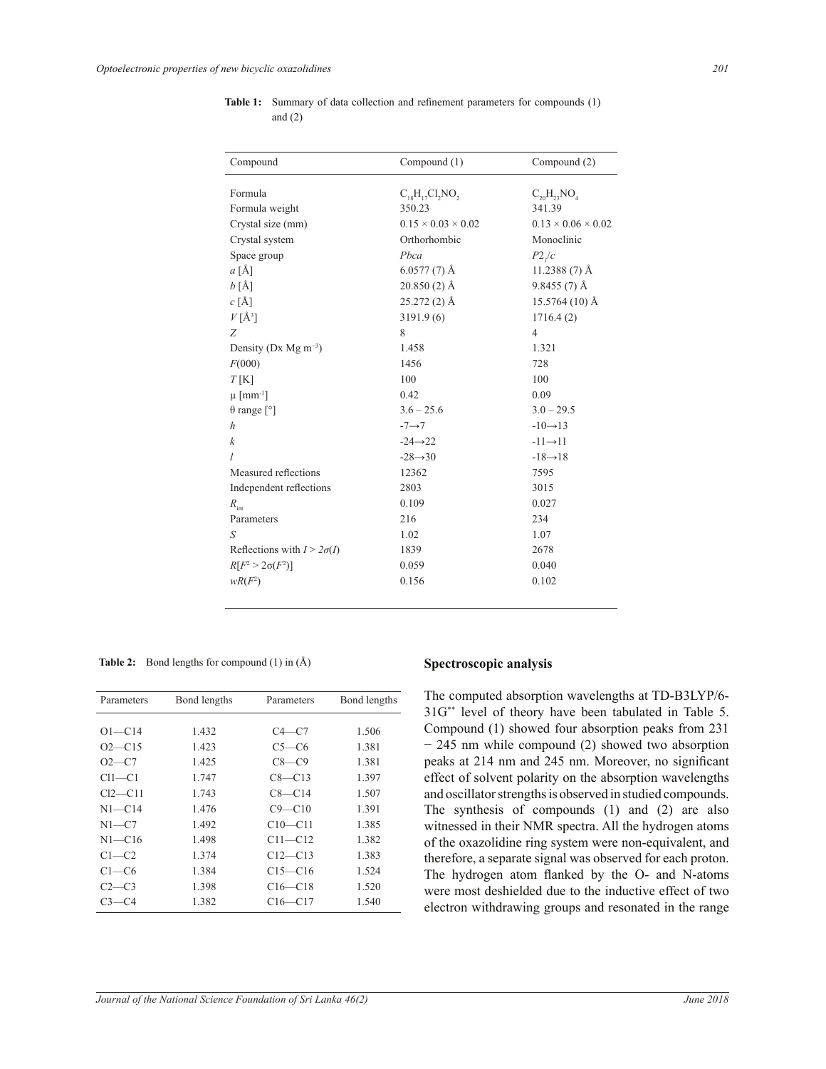| Compound                             | Compound (1)<br>Compound (2)   |                                |
|--------------------------------------|--------------------------------|--------------------------------|
| Formula                              | $C_{18}H_{17}Cl_2NO$           | $C_{20}H_{23}NO_4$             |
| Formula weight                       | 350.23                         | 341.39                         |
| Crystal size (mm)                    | $0.15 \times 0.03 \times 0.02$ | $0.13 \times 0.06 \times 0.02$ |
|                                      | Orthorhombic                   | Monoclinic                     |
| Crystal system                       | Pbca                           |                                |
| Space group                          |                                | P2/c                           |
| a[A]                                 | $6.0577(7)$ Å                  | 11.2388 (7) Å                  |
| $b[\AA]$                             | $20.850(2)$ Å                  | $9.8455(7)$ Å                  |
| c[A]                                 | $25.272(2)$ Å                  | $15.5764(10)$ Å                |
| $V[A^3]$                             | 3191.9(6)                      | 1716.4(2)                      |
| Z                                    | 8                              | $\overline{4}$                 |
| Density (Dx Mg $m^{-3}$ )            | 1.458                          | 1.321                          |
| F(000)                               | 1456                           | 728                            |
| $T$ [K]                              | 100                            | 100                            |
| $\mu$ [mm <sup>-1</sup> ]            | 0.42                           | 0.09                           |
| $\theta$ range $\lceil \circ \rceil$ | $3.6 - 25.6$                   | $3.0 - 29.5$                   |
| $\boldsymbol{h}$                     | $-7 \rightarrow 7$             | $-10 \rightarrow 13$           |
| $\boldsymbol{k}$                     | $-24 \rightarrow 22$           | $-11 \rightarrow 11$           |
| I                                    | $-28 \rightarrow 30$           | $-18 \rightarrow 18$           |
| Measured reflections                 | 12362                          | 7595                           |
| Independent reflections              | 2803                           | 3015                           |
| $R_{\rm int}$                        | 0.109                          | 0.027                          |
| Parameters                           | 216                            | 234                            |
| S                                    | 1.02                           | 1.07                           |
| Reflections with $I > 2\sigma(I)$    | 1839                           | 2678                           |
| $R[F^2 > 2\sigma(F^2)]$              | 0.059                          | 0.040                          |
| $wR(F^2)$                            | 0.156                          | 0.102                          |
|                                      |                                |                                |

Table 1: Summary of data collection and refinement parameters for compounds (1) and  $(2)$ 

Table 2: Bond lengths for compound  $(1)$  in  $(\hat{A})$ 

| Parameters    | Bond lengths | Parameters  | Bond lengths |
|---------------|--------------|-------------|--------------|
|               |              |             |              |
| $O1 - C14$    | 1.432        | $C4-C7$     | 1.506        |
| $O2 - C15$    | 1.423        | $C5-C6$     | 1.381        |
| $O2 - C7$     | 1.425        | $C8-C9$     | 1.381        |
| $Cl1-C1$      | 1.747        | $C8 - C13$  | 1.397        |
| $Cl2$ — $Cl1$ | 1.743        | $C8-C14$    | 1.507        |
| $N1 - C14$    | 1.476        | $C9 - C10$  | 1.391        |
| $N1-C7$       | 1.492        | $C10 - C11$ | 1.385        |
| $N1 - C16$    | 1.498        | C11-C12     | 1.382        |
| $C1-C2$       | 1.374        | $C12 - C13$ | 1.383        |
| $C1-C6$       | 1.384        | $C15 - C16$ | 1.524        |
| $C2-C3$       | 1.398        | $C16 - C18$ | 1.520        |
| $C3-C4$       | 1.382        | $C16 - C17$ | 1.540        |

#### Spectroscopic analysis

The computed absorption wavelengths at TD-B3LYP/6-31G\*\* level of theory have been tabulated in Table 5. Compound (1) showed four absorption peaks from 231  $-245$  nm while compound (2) showed two absorption peaks at 214 nm and 245 nm. Moreover, no significant effect of solvent polarity on the absorption wavelengths and oscillator strengths is observed in studied compounds. The synthesis of compounds  $(1)$  and  $(2)$  are also witnessed in their NMR spectra. All the hydrogen atoms of the oxazolidine ring system were non-equivalent, and therefore, a separate signal was observed for each proton. The hydrogen atom flanked by the O- and N-atoms were most deshielded due to the inductive effect of two electron withdrawing groups and resonated in the range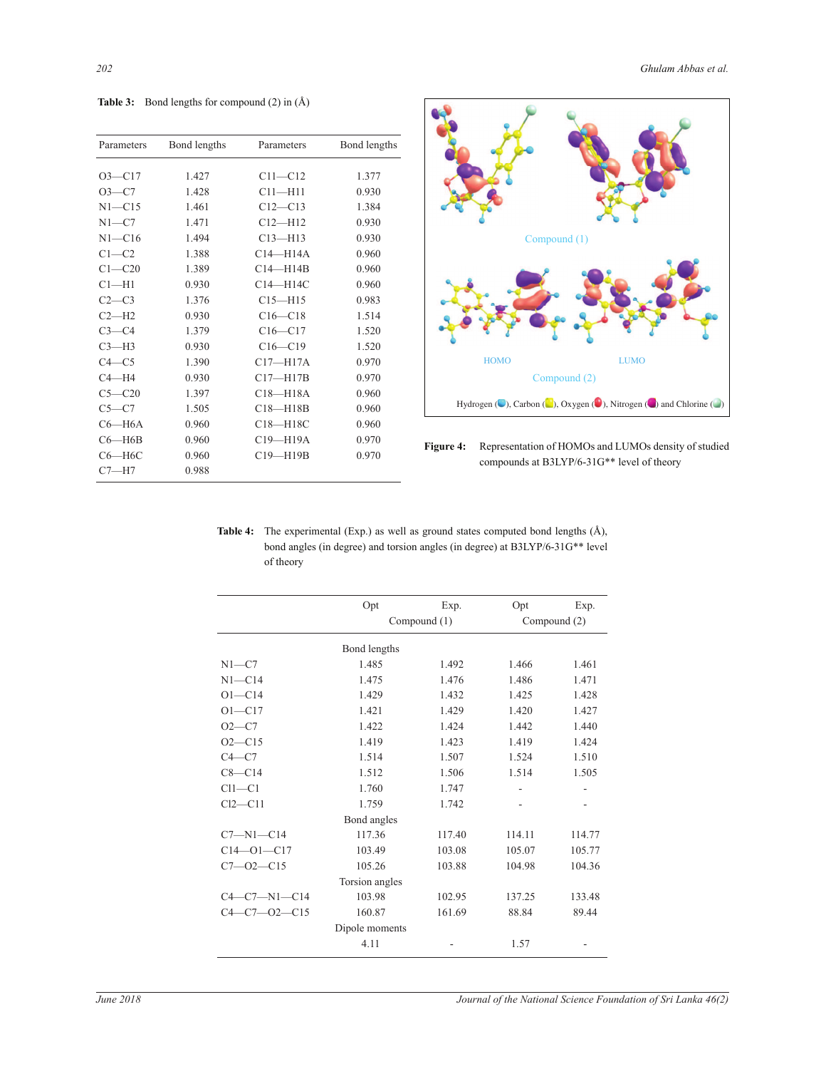**Table 3:** Bond lengths for compound  $(2)$  in  $(\AA)$ 

| Bond lengths | Parameters   | Bond lengths               |
|--------------|--------------|----------------------------|
|              |              | 1.377                      |
| 1.428        |              | 0.930                      |
| 1.461        | $C12 - C13$  | 1.384                      |
| 1.471        | $C12 - H12$  | 0.930                      |
| 1.494        | $C13 - H13$  | 0.930                      |
| 1.388        | $C14 - H14A$ | 0.960                      |
| 1.389        | $C14 - H14B$ | 0.960                      |
| 0.930        | C14-H14C     | 0.960                      |
| 1.376        | $C15 - H15$  | 0.983                      |
| 0.930        | $C16 - C18$  | 1.514                      |
| 1.379        | $C16 - C17$  | 1.520                      |
| 0.930        | $C16 - C19$  | 1.520                      |
| 1.390        | $C17 - H17A$ | 0.970                      |
| 0.930        | $C17 - H17B$ | 0.970                      |
| 1.397        | $C18 - H18A$ | 0.960                      |
| 1.505        | $C18 - H18B$ | 0.960                      |
| 0.960        | $C18 - H18C$ | 0.960                      |
| 0.960        | C19-H19A     | 0.970                      |
| 0.960        | $C19 - H19B$ | 0.970                      |
| 0.988        |              |                            |
|              | 1.427        | $C11 - C12$<br>$C11 - H11$ |



Figure 4: Representation of HOMOs and LUMOs density of studied compounds at B3LYP/6-31G<sup>\*\*</sup> level of theory

| <b>Table 4:</b> The experimental (Exp.) as well as ground states computed bond lengths $(A)$ , |
|------------------------------------------------------------------------------------------------|
| bond angles (in degree) and torsion angles (in degree) at B3LYP/6-31G** level                  |
| of theory                                                                                      |

|                      | Opt            | Exp.   | Opt          | Exp.   |
|----------------------|----------------|--------|--------------|--------|
|                      | Compound (1)   |        | Compound (2) |        |
|                      | Bond lengths   |        |              |        |
| $N1 - C7$            | 1.485          | 1.492  | 1.466        | 1.461  |
| $N1 - C14$           | 1.475          | 1.476  | 1.486        | 1.471  |
| $O1 - C14$           | 1.429          | 1.432  | 1.425        | 1.428  |
| $O1 - C17$<br>1.421  |                | 1.429  | 1.420        | 1.427  |
| $O2 - C7$            | 1.422          | 1.424  | 1.442        | 1.440  |
| $O2 - C15$           | 1.419          | 1.423  | 1.419        | 1.424  |
| $C4-C7$              | 1.514          | 1.507  | 1.524        | 1.510  |
| $C8 - C14$           | 1.512          | 1.506  | 1.514        | 1.505  |
| $Cl1-C1$             | 1.760          | 1.747  |              |        |
| $Cl2-C11$            | 1.759          | 1.742  |              |        |
|                      | Bond angles    |        |              |        |
| $C7 - N1 - C14$      | 117.36         | 117.40 | 114.11       | 114.77 |
| $C14 - 01 - C17$     | 103.49         | 103.08 | 105.07       | 105.77 |
| $C7 - 02 - C15$      | 105.26         | 103.88 | 104.98       | 104.36 |
|                      | Torsion angles |        |              |        |
| $C4 - C7 - N1 - C14$ | 103.98         | 102.95 | 137.25       | 133.48 |
| $C4 - C7 - 02 - C15$ | 160.87         | 161.69 | 88.84        | 89.44  |
|                      | Dipole moments |        |              |        |
|                      | 4.11           |        | 1.57         |        |
|                      |                |        |              |        |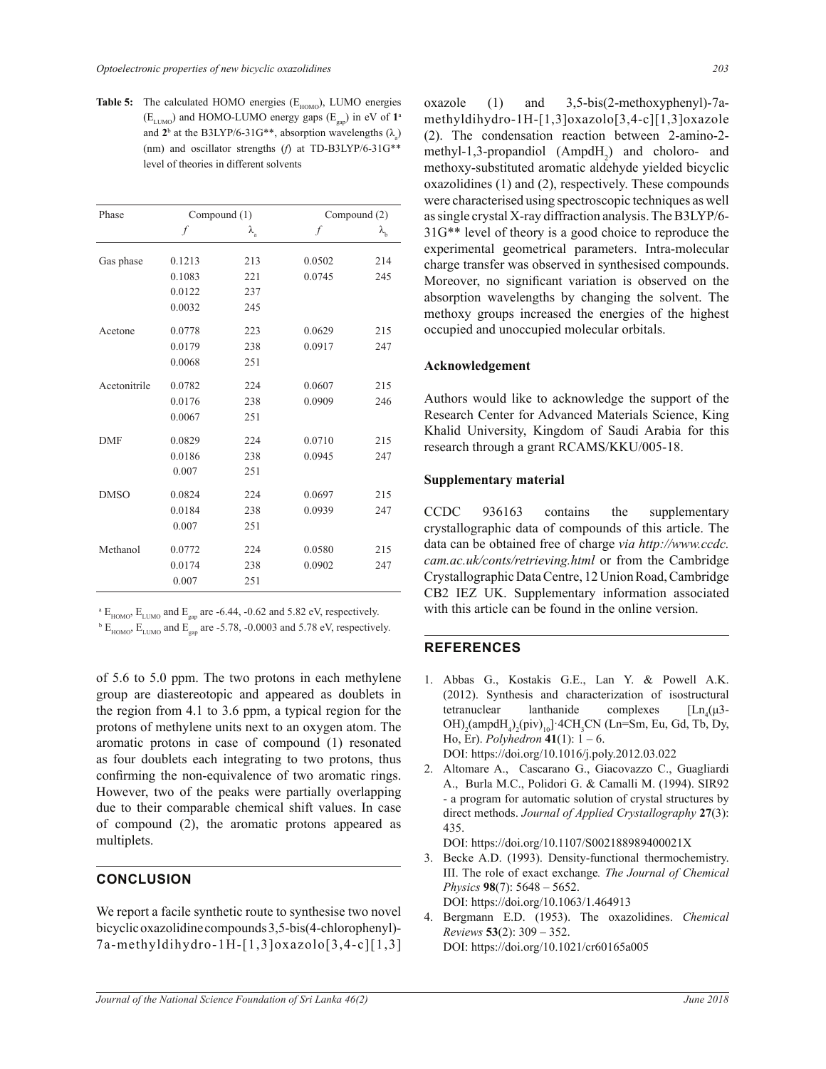**Table 5:** The calculated HOMO energies  $(E_{HOMO})$ , LUMO energies  $(E_{LUMO})$  and HOMO-LUMO energy gaps  $(E_{gap})$  in eV of  $1^{\circ}$ and  $2^b$  at the B3LYP/6-31G<sup>\*\*</sup>, absorption wavelengths  $(\lambda_a)$ (nm) and oscillator strengths  $(f)$  at TD-B3LYP/6-31G\*\* level of theories in different solvents

| Phase        | Compound (1) |                   |        | Compound (2)      |  |
|--------------|--------------|-------------------|--------|-------------------|--|
|              | f            | $\lambda_{\rm a}$ | f      | $\lambda_{\rm b}$ |  |
| Gas phase    | 0.1213       | 213               | 0.0502 | 214               |  |
|              | 0.1083       | 221               | 0.0745 | 245               |  |
|              | 0.0122       | 237               |        |                   |  |
|              | 0.0032       | 245               |        |                   |  |
| Acetone      | 0.0778       | 223               | 0.0629 | 215               |  |
|              | 0.0179       | 238               | 0.0917 | 247               |  |
|              | 0.0068       | 251               |        |                   |  |
| Acetonitrile | 0.0782       | 224               | 0.0607 | 215               |  |
|              | 0.0176       | 238               | 0.0909 | 246               |  |
|              | 0.0067       | 251               |        |                   |  |
| <b>DMF</b>   | 0.0829       | 224               | 0.0710 | 215               |  |
|              | 0.0186       | 238               | 0.0945 | 247               |  |
|              | 0.007        | 251               |        |                   |  |
| <b>DMSO</b>  | 0.0824       | 224               | 0.0697 | 215               |  |
|              | 0.0184       | 238               | 0.0939 | 247               |  |
|              | 0.007        | 251               |        |                   |  |
| Methanol     | 0.0772       | 224               | 0.0580 | 215               |  |
|              | 0.0174       | 238               | 0.0902 | 247               |  |
|              | 0.007        | 251               |        |                   |  |

 $^{\text{a}}$  E<sub>HOMO</sub>, E<sub>LUMO</sub> and E<sub>gap</sub> are -6.44, -0.62 and 5.82 eV, respectively.

 $^{\rm b}$  E<sub>HOMO</sub>, E<sub>LUMO</sub> and E<sub>gap</sub> are -5.78, -0.0003 and 5.78 eV, respectively.

of  $5.6$  to  $5.0$  ppm. The two protons in each methylene group are diastereotopic and appeared as doublets in the region from 4.1 to 3.6 ppm, a typical region for the protons of methylene units next to an oxygen atom. The aromatic protons in case of compound (1) resonated as four doublets each integrating to two protons, thus confirming the non-equivalence of two aromatic rings. However, two of the peaks were partially overlapping due to their comparable chemical shift values. In case of compound (2), the aromatic protons appeared as multiplets.

# **CONCLUSION**

We report a facile synthetic route to synthesise two novel bicyclic oxazolidine compounds 3,5-bis(4-chlorophenyl)- $7a$ -methyldihydro-1H-[1,3]oxazolo[3,4-c][1,3]  $oxazole$  (1) and  $3,5-bis(2-methoxyphenyl)-7a$ methyldihydro-1H-[1,3]oxazolo[3,4-c][1,3]oxazole  $(2)$ . The condensation reaction between 2-amino-2methyl-1,3-propandiol  $(AmpdH_2)$  and choloro- and methoxy-substituted aromatic aldehyde yielded bicyclic oxazolidines (1) and (2), respectively. These compounds were characterised using spectroscopic techniques as well as single crystal X-ray diffraction analysis. The B3LYP/6- $31G^{**}$  level of theory is a good choice to reproduce the experimental geometrical parameters. Intra-molecular charge transfer was observed in synthesised compounds. Moreover, no significant variation is observed on the absorption wavelengths by changing the solvent. The methoxy groups increased the energies of the highest occupied and unoccupied molecular orbitals.

#### **Acknowledgement**

Authors would like to acknowledge the support of the Research Center for Advanced Materials Science, King Khalid University, Kingdom of Saudi Arabia for this research through a grant RCAMS/KKU/005-18.

#### **Supplementary material**

CCDC 936163 contains the supplementary crystallographic data of compounds of this article. The data can be obtained free of charge *via http://www.ccdc. cam.ac.uk/conts/retrieving.html* or from the Cambridge Crystallographic Data Centre, 12 Union Road, Cambridge CB2 IEZ UK. Supplementary information associated with this article can be found in the online version.

## **REFERENCES**

- 1. Abbas G., Kostakis G.E., Lan Y. & Powell A.K. (2012). Synthesis and characterization of isostructural tetranuclear lanthanide complexes  $\left[ \text{Ln}_{4}(\mu 3-\mu)\right]$  $OH$ <sub>2</sub>(ampdH<sub>4</sub>)<sub>2</sub>(piv)<sub>10</sub>]  $4CH_3CN$  (Ln=Sm, Eu, Gd, Tb, Dy,  $H$ o, Er). *Polyhedron* 41(1):  $1 - 6$ . DOI: https://doi.org/10.1016/j.poly.2012.03.022
- 2. Altomare A., Cascarano G., Giacovazzo C., Guagliardi A., Burla M.C., Polidori G. & Camalli M. (1994). SIR92 - a program for automatic solution of crystal structures by direct methods. *Journal of Applied Crystallography* 27(3): 435.

DOI: https://doi.org/10.1107/S002188989400021X

- 3. Becke A.D. (1993). Density-functional thermochemistry. III. The role of exact exchange*. The Journal of Chemical Physics* 98(7):  $5648 - 5652$ . DOI: https://doi.org/10.1063/1.464913
- 4. Bergmann E.D. (1953). The oxazolidines. Chemical  $Reviews$  53(2): 309 - 352. DOI: https://doi.org/10.1021/cr60165a005